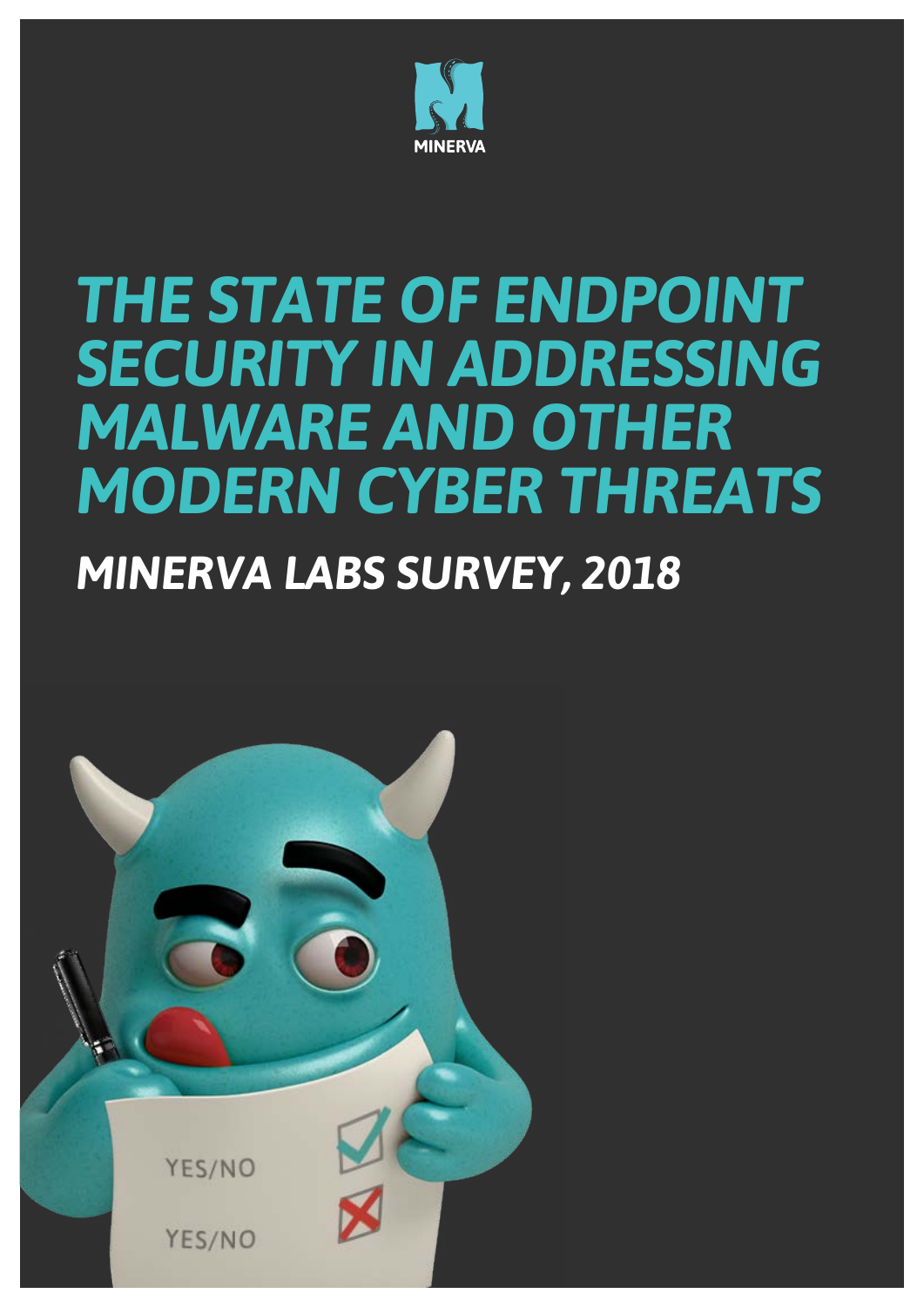

# **THE STATE OF ENDPOINT** *SECURITY IN ADDRESSING* **MALWARE AND OTHER MODERN CYBER THREATS**

## **MINERVA LABS SURVEY, 2018**

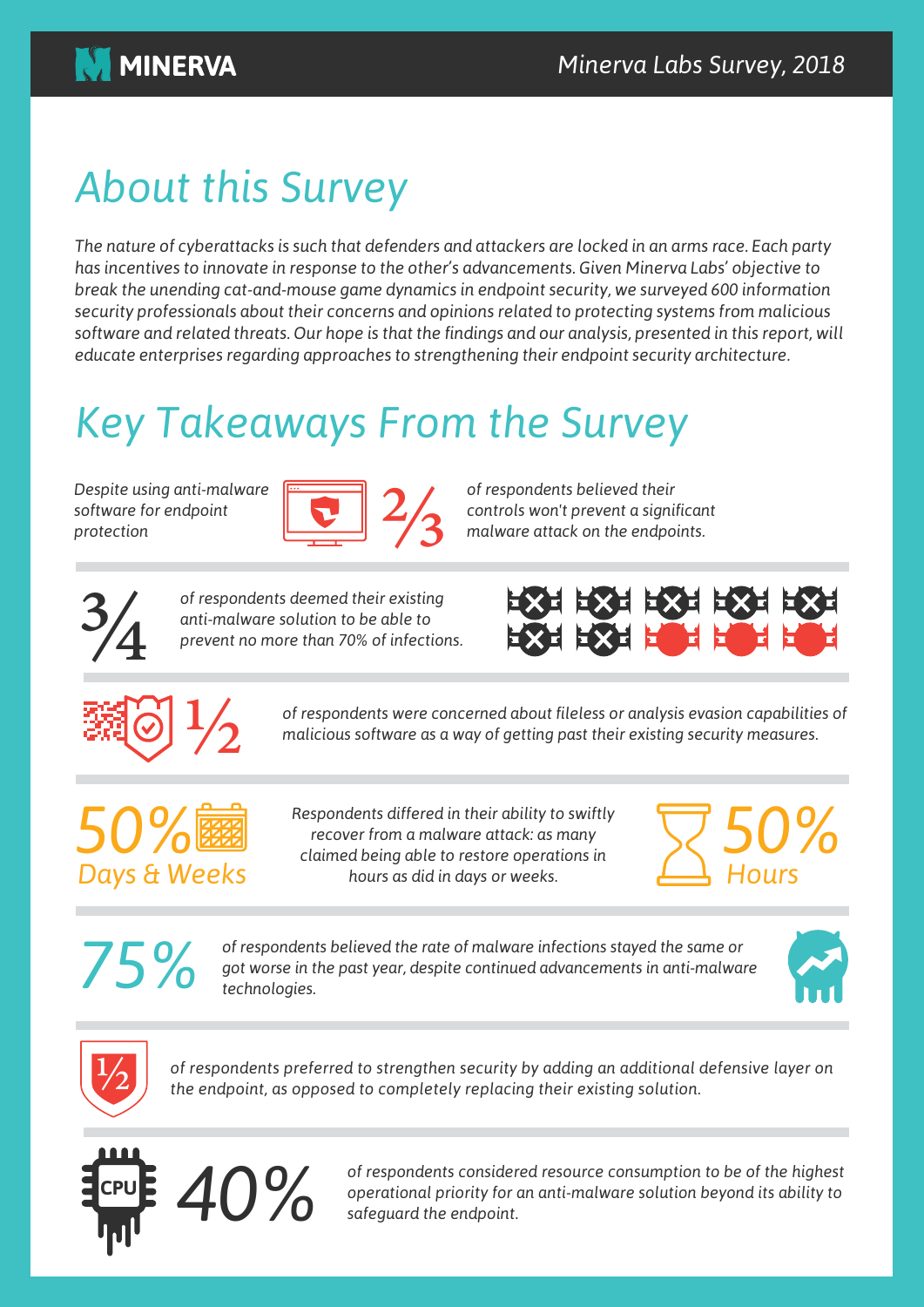

## **About this Survey**

*The nature of cyberattacks is such that defenders and attackers are locked in an arms race. Each party* has incentives to innovate in response to the other's advancements. Given Minerva Labs' objective to *break the unending cat-and-mouse game dynamics in endpoint security, we surveyed 600 information security professionals about their concerns and opinions related to protecting systems from malicious software and related threats. Our hope is that the findings and our analysis, presented in this report, will educate enterprises regarding approaches to strengthening their endpoint security architecture.* 

## **Key Takeaways From the Survey**

*Despite* using anti-malware software for endpoint *protection*



 $of$  respondents believed their *.endpoints the on attack malware* ⅔ *significant a prevent t'won controls*



**3/**<br>**.i** *existing their existing anti-malware solution to be able to prevent no more than 70% of infections.* 





*of respondents were concerned about fileless or analysis evasion capabilities of malicious software as a way of getting past their existing security measures.* 



*Respondents differed in their ability to swiftly recover from a malware attack: as many claimed being able to restore operations in* hours as did in days or weeks.



*of respondents believed the rate of malware infections stayed the same or* got worse in the past year, despite continued advancements in anti-malware technologies.





of respondents preferred to strengthen security by adding an additional defensive layer on *the endpoint, as opposed to completely replacing their existing solution.* 



*of respondents considered resource consumption to be of the highest*<br>operational priority for an anti-malware-solution beyond its ability to<br>safeguard the endpoint.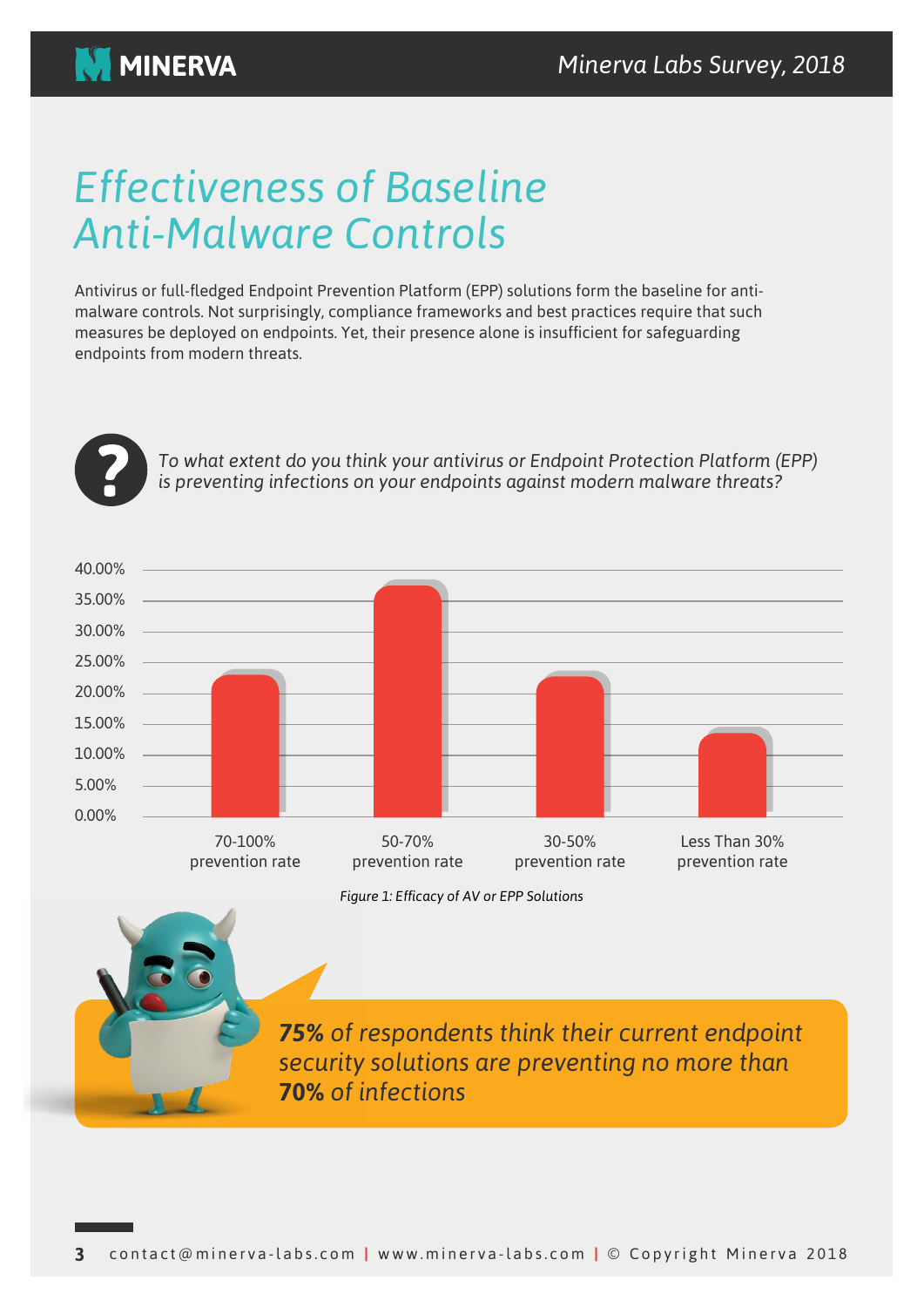

### *Effectiveness of Baseline* **Anti-Malware Controls**

malware controls. Not surprisingly, compliance frameworks and best practices require that such Antivirus or full-fledged Endpoint Prevention Platform (EPP) solutions form the baseline for antimeasures be deployed on endpoints. Yet, their presence alone is insufficient for safeguarding endpoints from modern threats.



To what extent do you think your antivirus or Endpoint Protection Platform (EPP) is preventing infections on your endpoints against modern malware threats?



**75%** of respondents think their current endpoint *security* solutions are preventing no more than *infections of* **70%**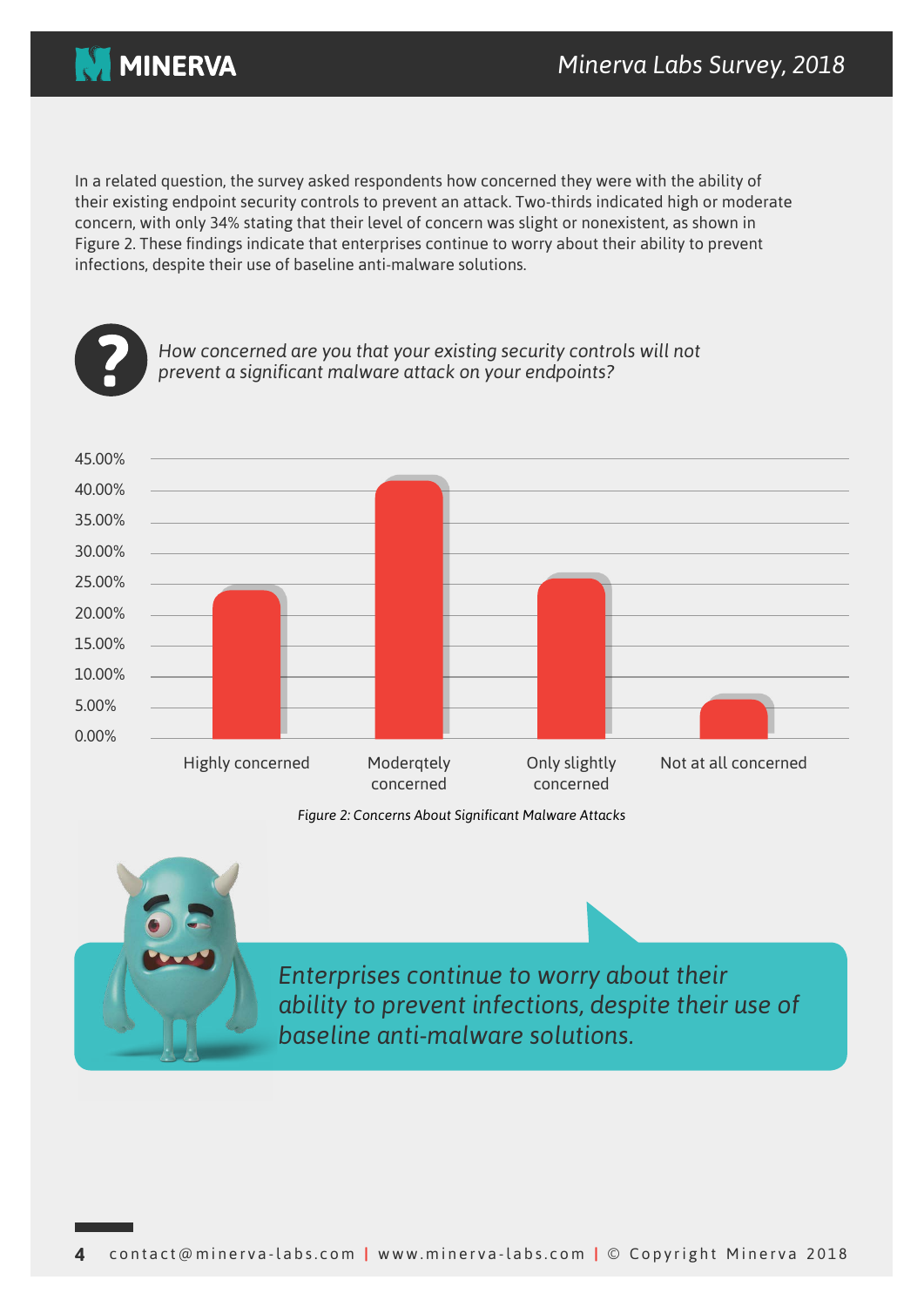

In a related question, the survey asked respondents how concerned they were with the ability of their existing endpoint security controls to prevent an attack. Two-thirds indicated high or moderate concern, with only 34% stating that their level of concern was slight or nonexistent, as shown in Figure 2. These findings indicate that enterprises continue to worry about their ability to prevent infections, despite their use of baseline anti-malware solutions.



**Figure 2: Concerns About Significant Malware Attacks** 



*Enterprises continue to worry about their* ability to prevent infections, despite their use of *baseline anti-malware solutions.*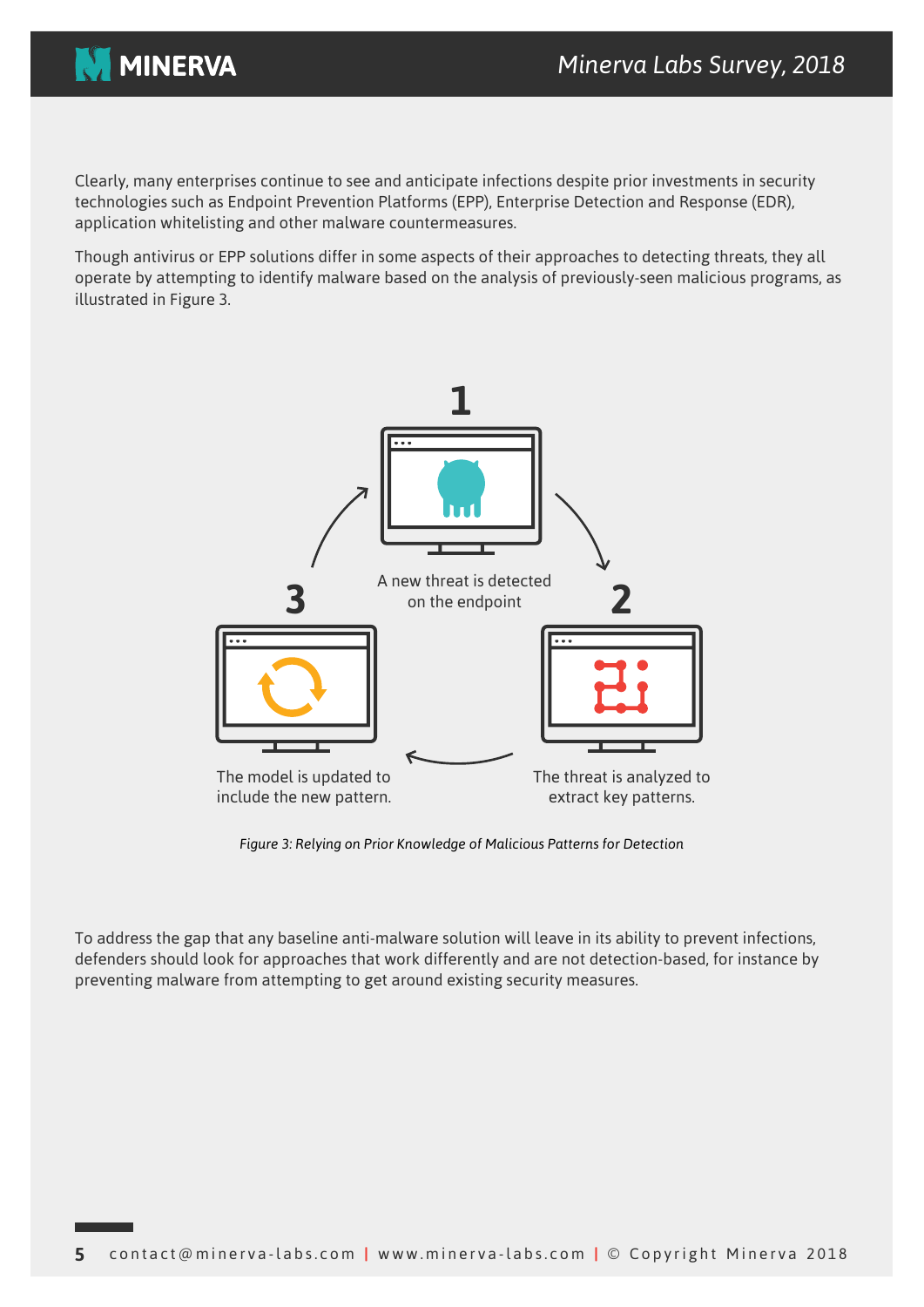

Clearly, many enterprises continue to see and anticipate infections despite prior investments in security technologies such as Endpoint Prevention Platforms (EPP), Enterprise Detection and Response (EDR), application whitelisting and other malware countermeasures.

Though antivirus or EPP solutions differ in some aspects of their approaches to detecting threats, they all operate by attempting to identify malware based on the analysis of previously-seen malicious programs, as illustrated in Figure 3.



Figure 3: Relying on Prior Knowledge of Malicious Patterns for Detection

To address the gap that any baseline anti-malware solution will leave in its ability to prevent infections, defenders should look for approaches that work differently and are not detection-based, for instance by preventing malware from attempting to get around existing security measures.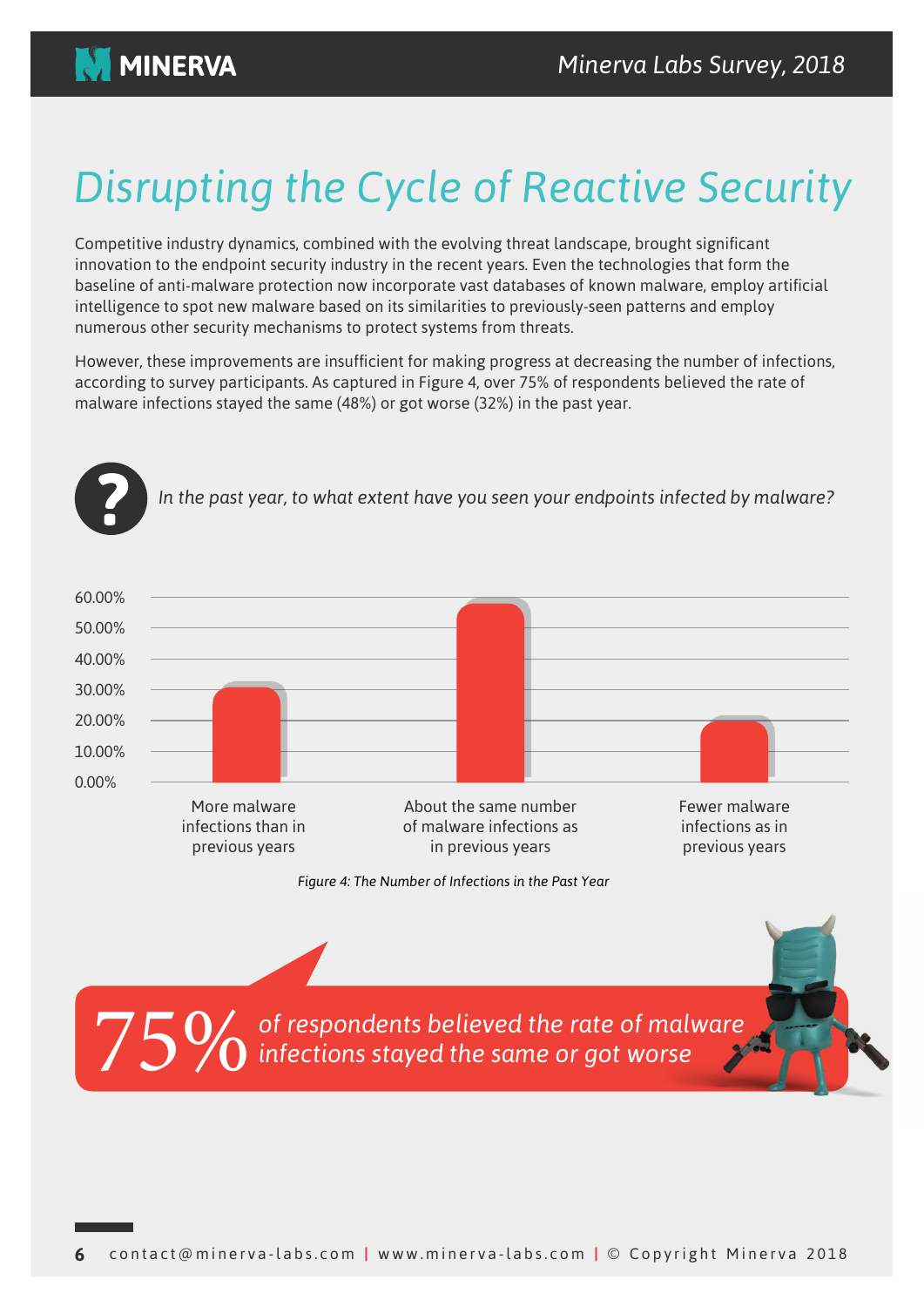

## **Disrupting the Cycle of Reactive Security**

Competitive industry dynamics, combined with the evolving threat landscape, brought significant innovation to the endpoint security industry in the recent vears. Even the technologies that form the baseline of anti-malware protection now incorporate vast databases of known malware, employ artificial intelligence to spot new malware based on its similarities to previously-seen patterns and employ numerous other security mechanisms to protect systems from threats.

However, these improvements are insufficient for making progress at decreasing the number of infections, according to survey participants. As captured in Figure 4, over 75% of respondents believed the rate of malware infections stayed the same  $(48%)$  or got worse  $(32%)$  in the past year.

In the past year, to what extent have you seen your endpoints infected by malware?



*Figure 4: The Number of Infections in the Past Year* 

of respondents believed the rate of malware *infections stayed the same or got worse* 75%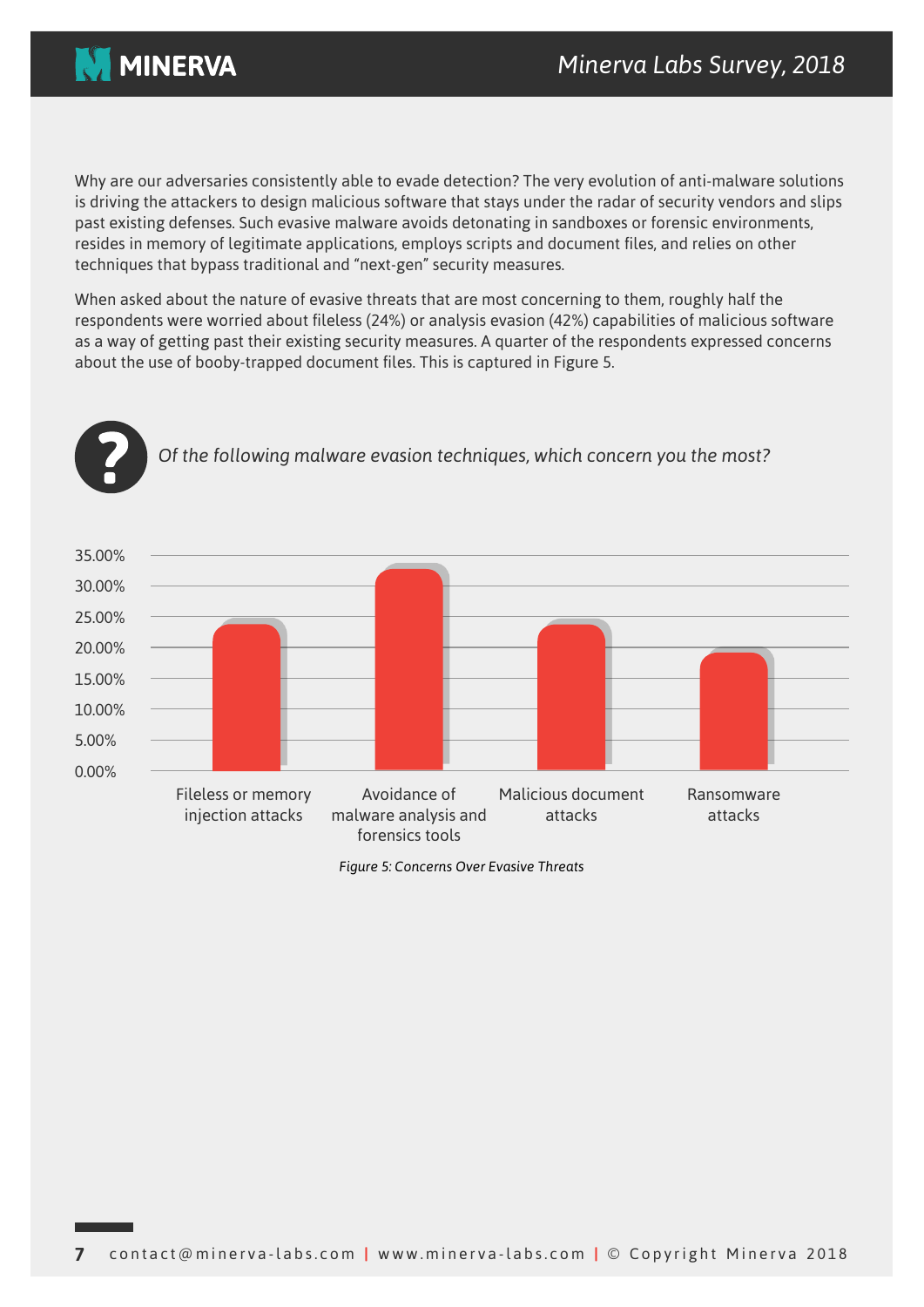

Why are our adversaries consistently able to evade detection? The very evolution of anti-malware solutions is driving the attackers to design malicious software that stays under the radar of security vendors and slips past existing defenses. Such evasive malware avoids detonating in sandboxes or forensic environments, resides in memory of legitimate applications, employs scripts and document files, and relies on other techniques that bypass traditional and "next-gen" security measures.

When asked about the nature of evasive threats that are most concerning to them, roughly half the respondents were worried about fileless (24%) or analysis evasion (42%) capabilities of malicious software as a way of getting past their existing security measures. A quarter of the respondents expressed concerns about the use of booby-trapped document files. This is captured in Figure 5.

Of the following malware evasion techniques, which concern you the most?



**Figure 5: Concerns Over Evasive Threats**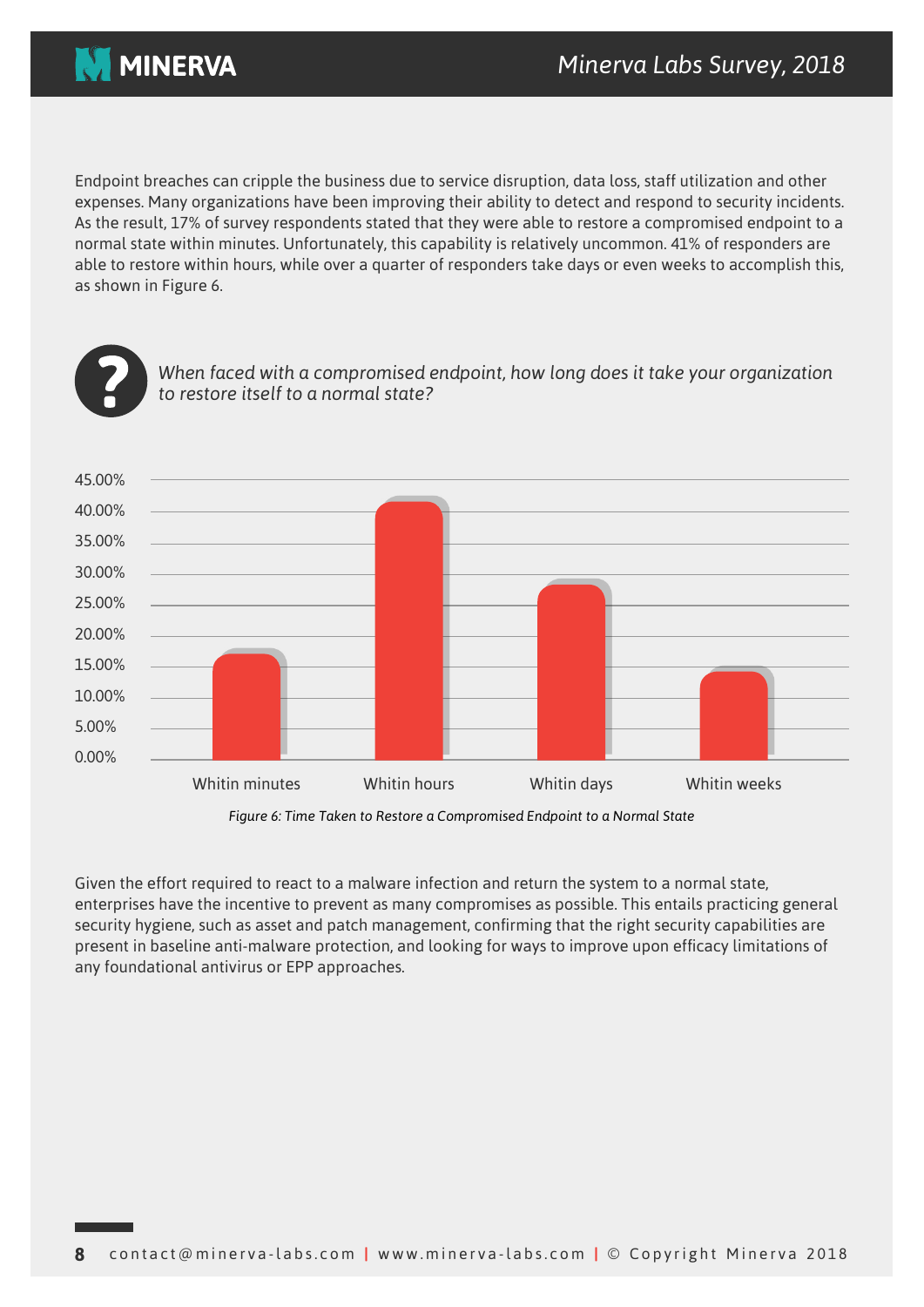

Endpoint breaches can cripple the business due to service disruption, data loss, staff utilization and other expenses. Many organizations have been improving their ability to detect and respond to security incidents. As the result, 17% of survey respondents stated that they were able to restore a compromised endpoint to a normal state within minutes. Unfortunately, this capability is relatively uncommon. 41% of responders are able to restore within hours, while over a quarter of responders take days or even weeks to accomplish this, as shown in Figure 6.



*When faced with a compromised endpoint, how long does it take your organization* to restore itself to a normal state?



Figure 6: Time Taken to Restore a Compromised Endpoint to a Normal State

Given the effort required to react to a malware infection and return the system to a normal state, enterprises have the incentive to prevent as many compromises as possible. This entails practicing general security hygiene, such as asset and patch management, confirming that the right security capabilities are present in baseline anti-malware protection, and looking for ways to improve upon efficacy limitations of any foundational antivirus or EPP approaches.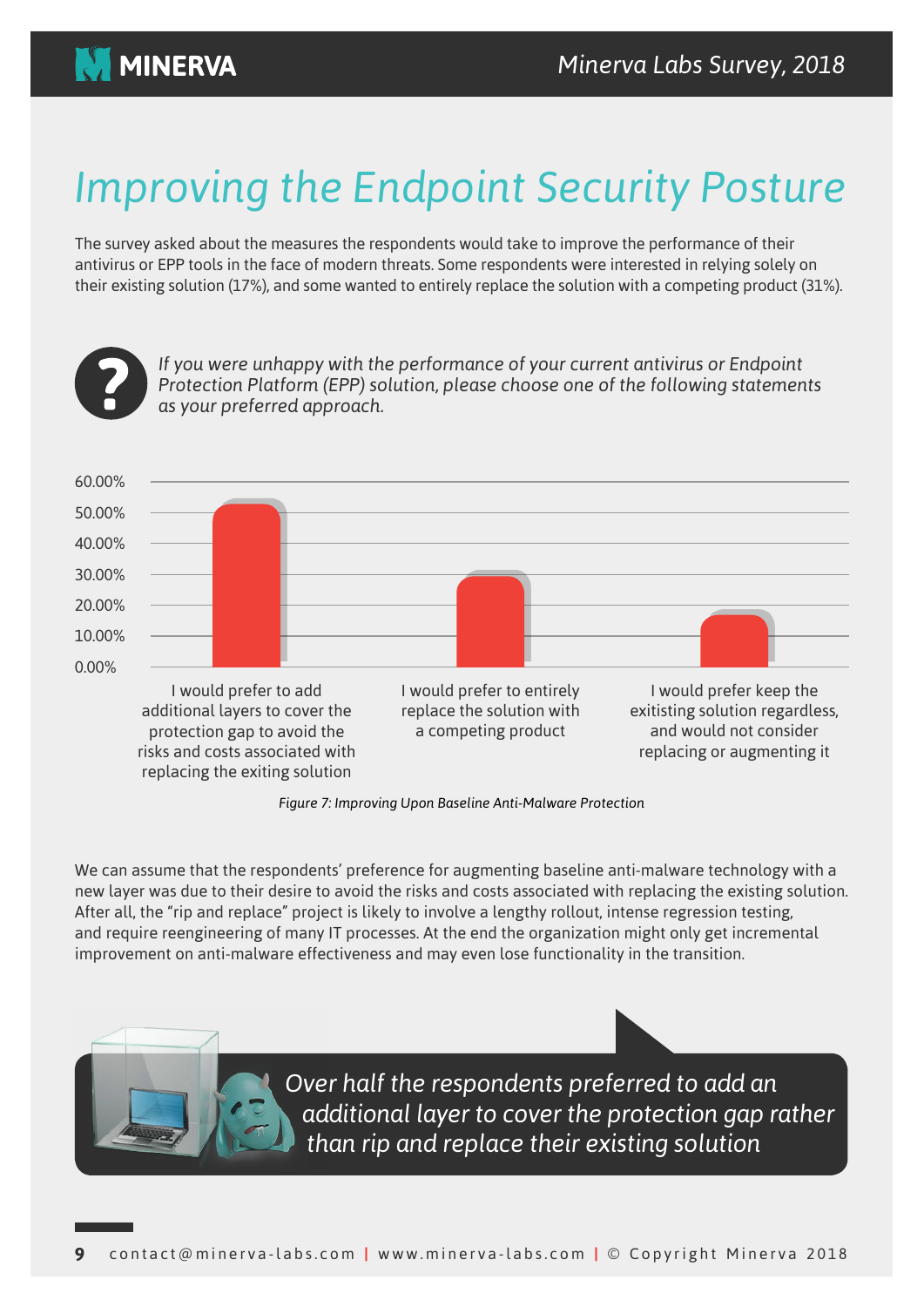

## *Improving the Endpoint Security Posture*

The survey asked about the measures the respondents would take to improve the performance of their antivirus or EPP tools in the face of modern threats. Some respondents were interested in relying solely on their existing solution (17%), and some wanted to entirely replace the solution with a competing product (31%).



If you were unhappy with the performance of your current antivirus or Endpoint *Protection Platform (EPP) solution, please choose one of the following statements .approach preferred your as*



*Figure 7: Improving Upon Baseline Anti-Malware Protection* 

We can assume that the respondents' preference for augmenting baseline anti-malware technology with a new layer was due to their desire to avoid the risks and costs associated with replacing the existing solution. After all, the "rip and replace" project is likely to involve a lengthy rollout, intense regression testing, and require reengineering of many IT processes. At the end the organization might only get incremental improvement on anti-malware effectiveness and may even lose functionality in the transition.

> **Over half the respondents preferred to add an** *additional layer to cover the protection gap rather than rip and replace their existing solution*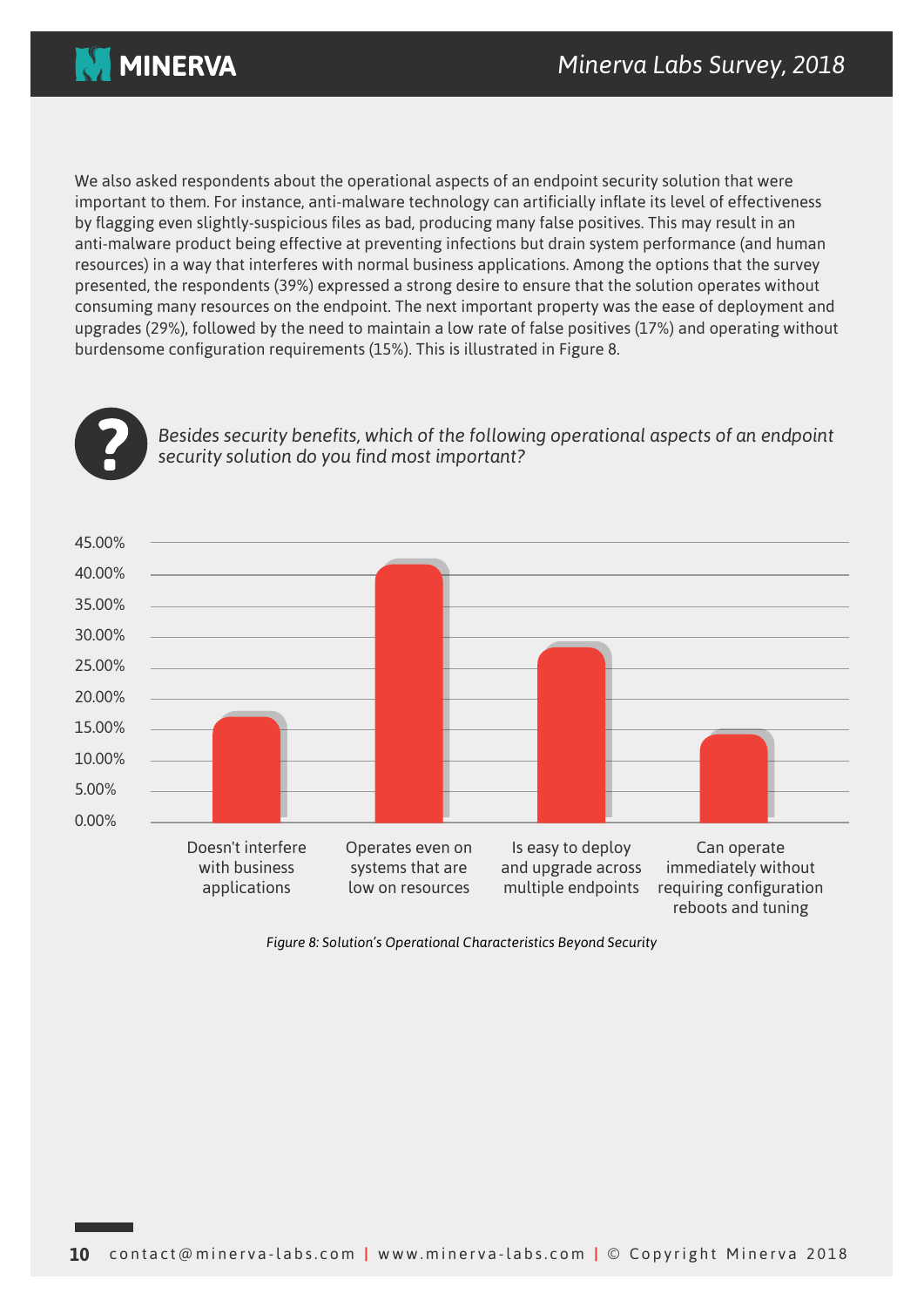



We also asked respondents about the operational aspects of an endpoint security solution that were important to them. For instance, anti-malware technology can artificially inflate its level of effectiveness by flagging even slightly-suspicious files as bad, producing many false positives. This may result in an anti-malware product being effective at preventing infections but drain system performance (and human resources) in a way that interferes with normal business applications. Among the options that the survey presented, the respondents (39%) expressed a strong desire to ensure that the solution operates without consuming many resources on the endpoint. The next important property was the ease of deployment and upgrades (29%), followed by the need to maintain a low rate of false positives (17%) and operating without burdensome configuration requirements (15%). This is illustrated in Figure 8.



*Besides security benefits, which of the following operational aspects of an endpoint ?important most find you do solution security*



Figure 8: Solution's Operational Characteristics Beyond Security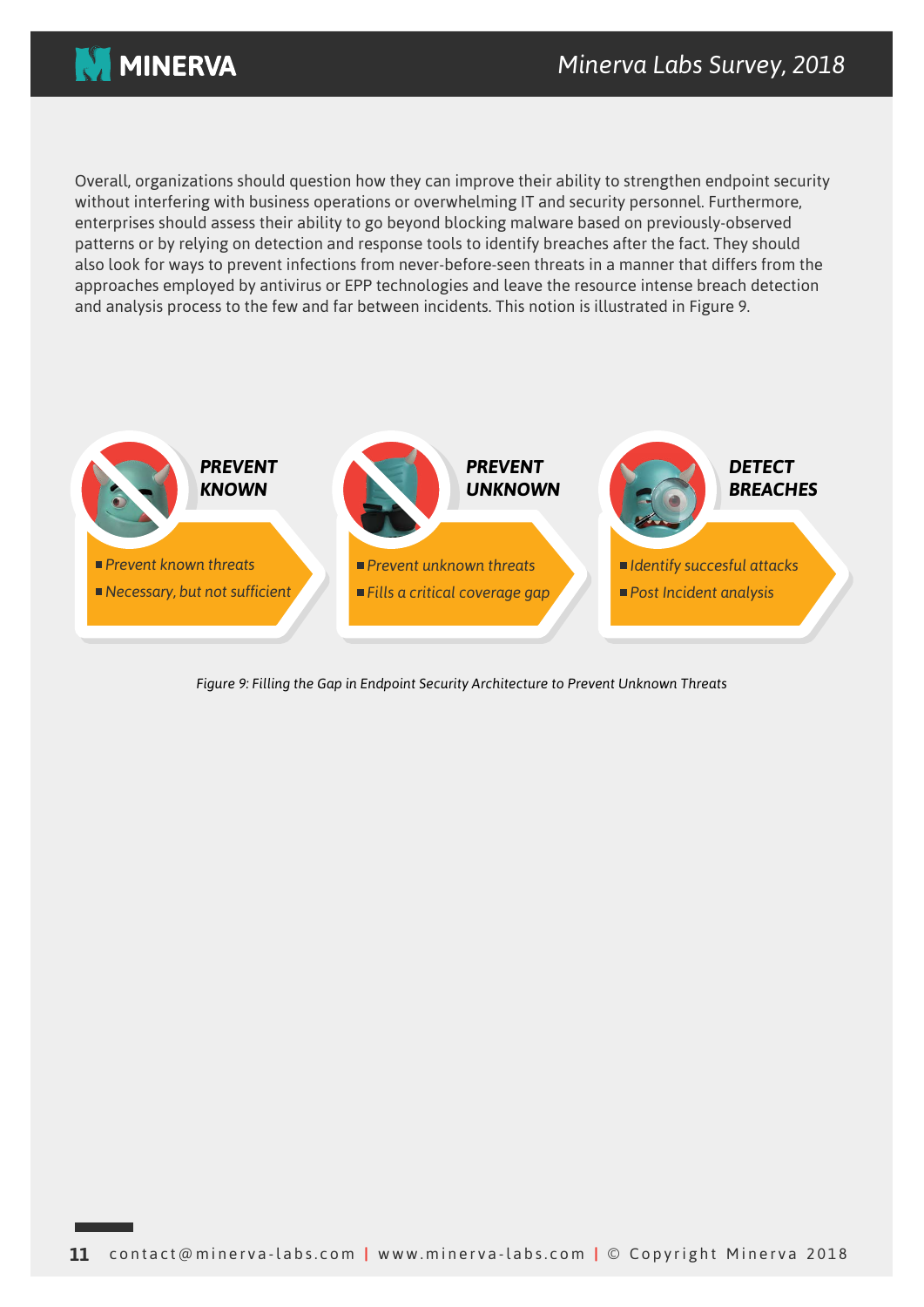

Overall, organizations should question how they can improve their ability to strengthen endpoint security without interfering with business operations or overwhelming IT and security personnel. Furthermore, enterprises should assess their ability to go beyond blocking malware based on previously-observed patterns or by relying on detection and response tools to identify breaches after the fact. They should also look for ways to prevent infections from never-before-seen threats in a manner that differs from the approaches employed by antivirus or EPP technologies and leave the resource intense breach detection and analysis process to the few and far between incidents. This notion is illustrated in Figure 9.



*Figure 9: Filling the Gap in Endpoint Security Architecture to Prevent Unknown Threats*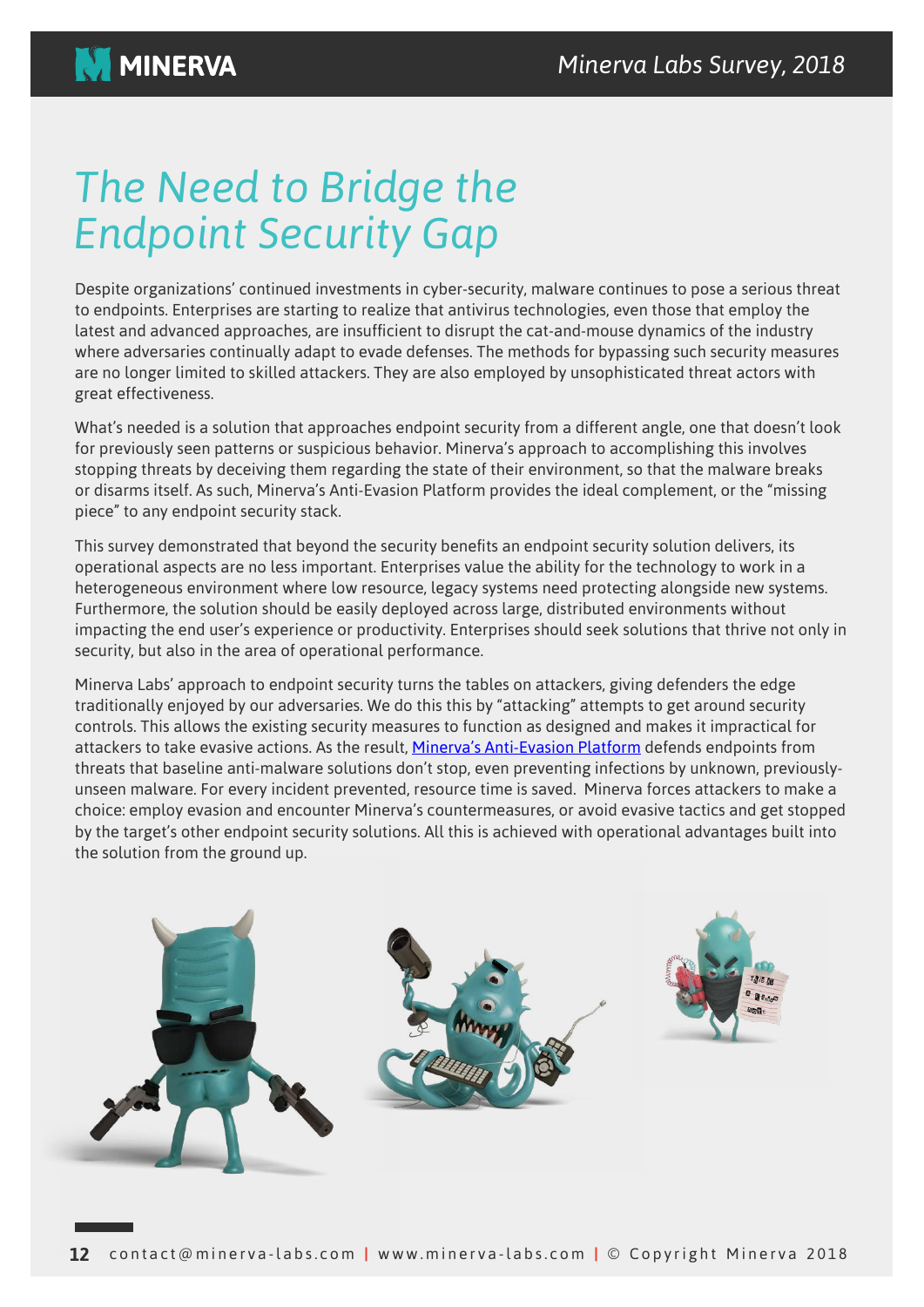### **The Need to Bridge the** *Endpoint Security Gap*

Despite organizations' continued investments in cyber-security, malware continues to pose a serious threat to endpoints. Enterprises are starting to realize that antivirus technologies, even those that employ the latest and advanced approaches, are insufficient to disrupt the cat-and-mouse dynamics of the industry where adversaries continually adapt to evade defenses. The methods for bypassing such security measures are no longer limited to skilled attackers. They are also employed by unsophisticated threat actors with great effectiveness.

What's needed is a solution that approaches endpoint security from a different angle, one that doesn't look for previously seen patterns or suspicious behavior. Minerva's approach to accomplishing this involves stopping threats by deceiving them regarding the state of their environment, so that the malware breaks or disarms itself. As such, Minerva's Anti-Evasion Platform provides the ideal complement, or the "missing piece" to any endpoint security stack.

This survey demonstrated that beyond the security benefits an endpoint security solution delivers, its operational aspects are no less important. Enterprises value the ability for the technology to work in a heterogeneous environment where low resource, legacy systems need protecting alongside new systems. Furthermore, the solution should be easily deployed across large, distributed environments without impacting the end user's experience or productivity. Enterprises should seek solutions that thrive not only in security, but also in the area of operational performance.

Minerva Labs' approach to endpoint security turns the tables on attackers, giving defenders the edge traditionally enjoyed by our adversaries. We do this this by "attacking" attempts to get around security controls. This allows the existing security measures to function as designed and makes it impractical for attackers to take evasive actions. As the result, Minerva's Anti-Evasion Platform defends endpoints from unseen malware. For every incident prevented, resource time is saved. Minerva forces attackers to make a threats that baseline anti-malware solutions don't stop, even preventing infections by unknown, previouslychoice: employ evasion and encounter Minerva's countermeasures, or avoid evasive tactics and get stopped by the target's other endpoint security solutions. All this is achieved with operational advantages built into the solution from the ground up.